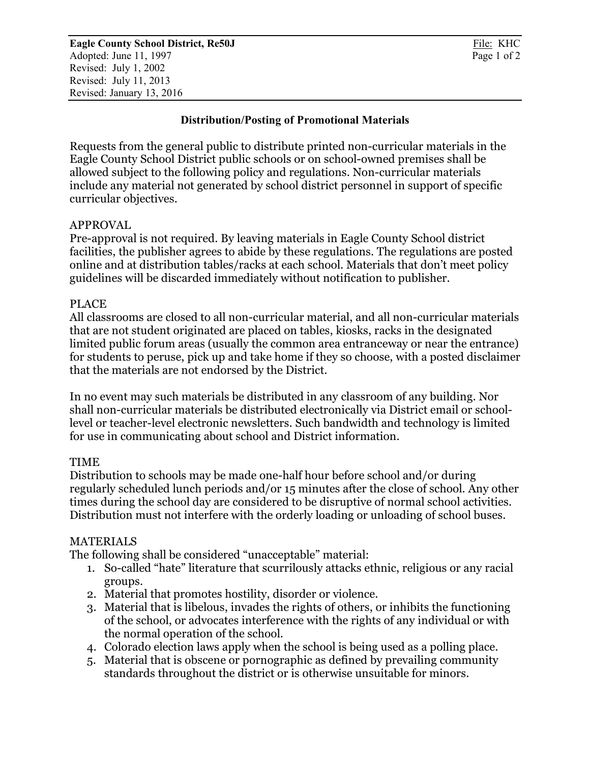## **Distribution/Posting of Promotional Materials**

Requests from the general public to distribute printed non-curricular materials in the Eagle County School District public schools or on school-owned premises shall be allowed subject to the following policy and regulations. Non-curricular materials include any material not generated by school district personnel in support of specific curricular objectives.

### APPROVAL

Pre-approval is not required. By leaving materials in Eagle County School district facilities, the publisher agrees to abide by these regulations. The regulations are posted online and at distribution tables/racks at each school. Materials that don't meet policy guidelines will be discarded immediately without notification to publisher.

### PLACE

All classrooms are closed to all non-curricular material, and all non-curricular materials that are not student originated are placed on tables, kiosks, racks in the designated limited public forum areas (usually the common area entranceway or near the entrance) for students to peruse, pick up and take home if they so choose, with a posted disclaimer that the materials are not endorsed by the District.

In no event may such materials be distributed in any classroom of any building. Nor shall non-curricular materials be distributed electronically via District email or schoollevel or teacher-level electronic newsletters. Such bandwidth and technology is limited for use in communicating about school and District information.

#### TIME

Distribution to schools may be made one-half hour before school and/or during regularly scheduled lunch periods and/or 15 minutes after the close of school. Any other times during the school day are considered to be disruptive of normal school activities. Distribution must not interfere with the orderly loading or unloading of school buses.

# MATERIALS

The following shall be considered "unacceptable" material:

- 1. So-called "hate" literature that scurrilously attacks ethnic, religious or any racial groups.
- 2. Material that promotes hostility, disorder or violence.
- 3. Material that is libelous, invades the rights of others, or inhibits the functioning of the school, or advocates interference with the rights of any individual or with the normal operation of the school.
- 4. Colorado election laws apply when the school is being used as a polling place.
- 5. Material that is obscene or pornographic as defined by prevailing community standards throughout the district or is otherwise unsuitable for minors.